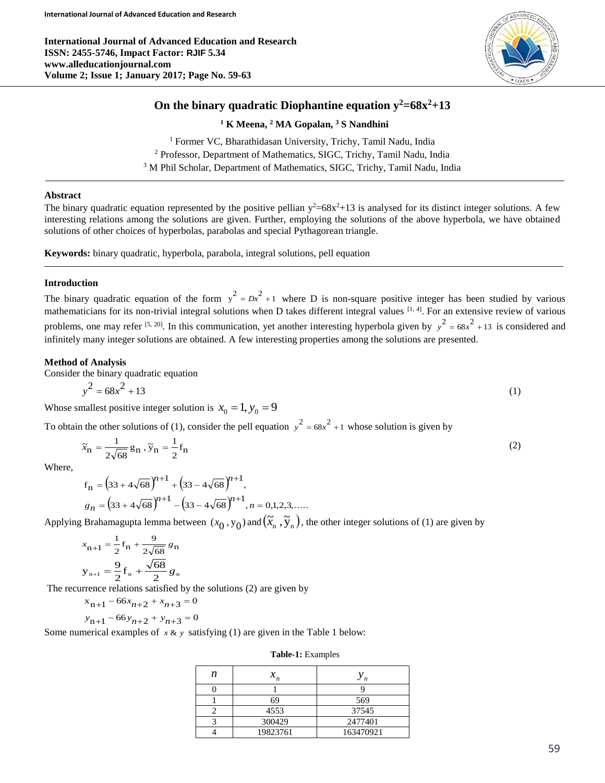**International Journal of Advanced Education and Research ISSN: 2455-5746, Impact Factor: RJIF 5.34 www.alleducationjournal.com Volume 2; Issue 1; January 2017; Page No. 59-63**



# **On the binary quadratic Diophantine equation y <sup>2</sup>=68x<sup>2</sup>+13**

**<sup>1</sup> K Meena, <sup>2</sup> MA Gopalan, <sup>3</sup> S Nandhini**

<sup>1</sup> Former VC, Bharathidasan University, Trichy, Tamil Nadu, India <sup>2</sup> Professor, Department of Mathematics, SIGC, Trichy, Tamil Nadu, India <sup>3</sup> M Phil Scholar, Department of Mathematics, SIGC, Trichy, Tamil Nadu, India

### **Abstract**

The binary quadratic equation represented by the positive pellian  $y^2=68x^2+13$  is analysed for its distinct integer solutions. A few interesting relations among the solutions are given. Further, employing the solutions of the above hyperbola, we have obtained solutions of other choices of hyperbolas, parabolas and special Pythagorean triangle.

**Keywords:** binary quadratic, hyperbola, parabola, integral solutions, pell equation

## **Introduction**

The binary quadratic equation of the form  $y^2 = Dx^2 + 1$  where D is non-square positive integer has been studied by various mathematicians for its non-trivial integral solutions when D takes different integral values [1, 4]. For an extensive review of various problems, one may refer <sup>[5, 20]</sup>. In this communication, yet another interesting hyperbola given by  $y^2 = 68x^2 + 13$  is considered and infinitely many integer solutions are obtained. A few interesting properties among the solutions are presented.

#### **Method of Analysis**

Consider the binary quadratic equation

$$
y^2 = 68x^2 + 13\tag{1}
$$

Whose smallest positive integer solution is  $x_0 = 1, y_0 = 9$ 

To obtain the other solutions of (1), consider the pell equation  $y^2 = 68x^2 + 1$  whose solution is given by

$$
\widetilde{x}_{n} = \frac{1}{2\sqrt{68}} g_n, \widetilde{y}_{n} = \frac{1}{2} f_n
$$
\n
$$
(2)
$$

Where,

$$
f_{n} = (33 + 4\sqrt{68})^{n+1} + (33 - 4\sqrt{68})^{n+1},
$$
  
\n
$$
g_{n} = (33 + 4\sqrt{68})^{n+1} - (33 - 4\sqrt{68})^{n+1}, n = 0, 1, 2, 3, ....
$$

Applying Brahamagupta lemma between  $(x_0, y_0)$  and  $(\tilde{x}_n, \tilde{y}_n)$ , the other integer solutions of (1) are given by

$$
x_{n+1} = \frac{1}{2} f_n + \frac{9}{2\sqrt{68}} g_n
$$
  

$$
y_{n+1} = \frac{9}{2} f_n + \frac{\sqrt{68}}{2} g_n
$$

The recurrence relations satisfied by the solutions (2) are given by

$$
x_{n+1} - 66x_{n+2} + x_{n+3} = 0
$$

$$
y_{n+1} - 66y_{n+2} + y_{n+3} = 0
$$

Some numerical examples of  $x \& y$  satisfying (1) are given in the Table 1 below:

| n | $x_n$    | n         |
|---|----------|-----------|
|   |          |           |
|   | 69       | 569       |
|   | 4553     | 37545     |
|   | 300429   | 2477401   |
|   | 19823761 | 163470921 |

**Table-1:** Examples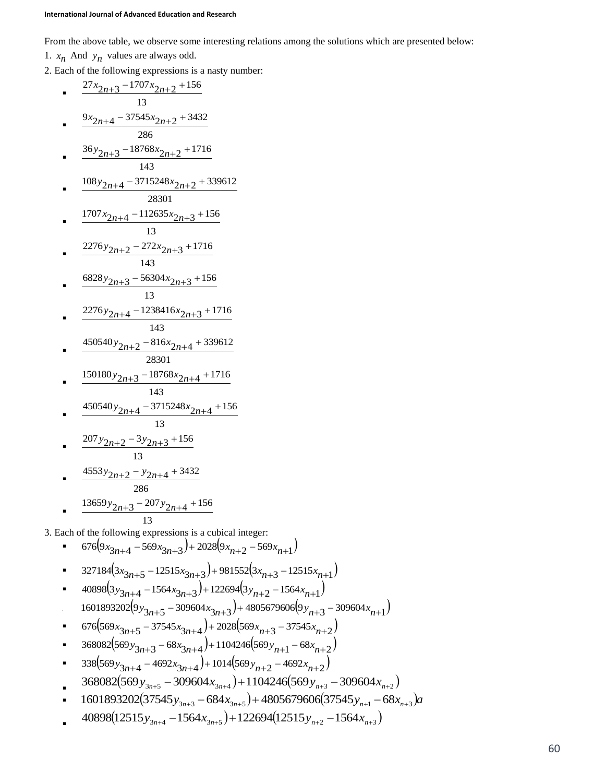From the above table, we observe some interesting relations among the solutions which are presented below:

1.  $x_n$  And  $y_n$  values are always odd.

2. Each of the following expressions is a nasty number:

$$
rac{27x_{2n+3}-1707x_{2n+2}+156}{13}
$$
\n• 
$$
rac{9x_{2n+4}-37545x_{2n+2}+3432}{286}
$$
\n• 
$$
rac{36y_{2n+3}-18768x_{2n+2}+1716}{143}
$$
\n• 
$$
rac{108y_{2n+4}-3715248x_{2n+2}+339612}{28301}
$$
\n• 
$$
rac{1707x_{2n+4}-112653x_{2n+3}+156}{13}
$$
\n• 
$$
rac{2276y_{2n+2}-272x_{2n+3}+1716}{143}
$$
\n• 
$$
rac{6828y_{2n+3}-56304x_{2n+3}+156}{13}
$$
\n• 
$$
rac{2276y_{2n+4}-1238416x_{2n+3}+1716}{143}
$$
\n• 
$$
rac{450540y_{2n+2}-816x_{2n+4}+339612}{28301}
$$
\n• 
$$
rac{150180y_{2n+3}-18768x_{2n+4}+1716}{143}
$$
\n• 
$$
rac{450540y_{2n+3}-18768x_{2n+4}+1716}{13}
$$
\n• 
$$
rac{207y_{2n+2}-3y_{2n+3}+156}{13}
$$
\n• 
$$
rac{4553y_{2n+2}-y_{2n+4}+3432}{286}
$$
\n• 
$$
rac{13659y_{2n+3}-207y_{2n+4}+156}{13}
$$
\n3. Each of the following expressions is a cubical integer:\n• 
$$
676(y_{3n+4}-569x_{3n+3})+91522(3x_{n+2}-12515x_{n+1})
$$
\n• 
$$
327184(3x_{3n+5}-12515x_{3n+3})+91522(3x_{n+2}-12515x_{n+1})
$$
\n• 
$$
676(9x_{3n+4
$$

$$
\bullet \qquad 368082 \left(569 \, y_{3n+3} - 68 x_{3n+4}\right) + 1104246 \left(569 \, y_{n+1} - 68 x_{n+2}\right)
$$

- **2**  $338(569y_{3n+4} 4692x_{3n+4}) + 1014(569y_{n+2} 4692x_{n+2})$
- $\mathbf{r}$  $368082(569y_{3n+5} - 309604x_{3n+4}) + 1104246(569y_{n+3} - 309604x_{n+2})$
- **9** 1601893202(37545 $y_{3n+3} 684x_{3n+5} + 4805679606(37545y_{n+1} 68x_{n+3})a$
- :  $40898(12515y_{3n+4} - 1564x_{3n+5}) + 122694(12515y_{n+2} - 1564x_{n+3})$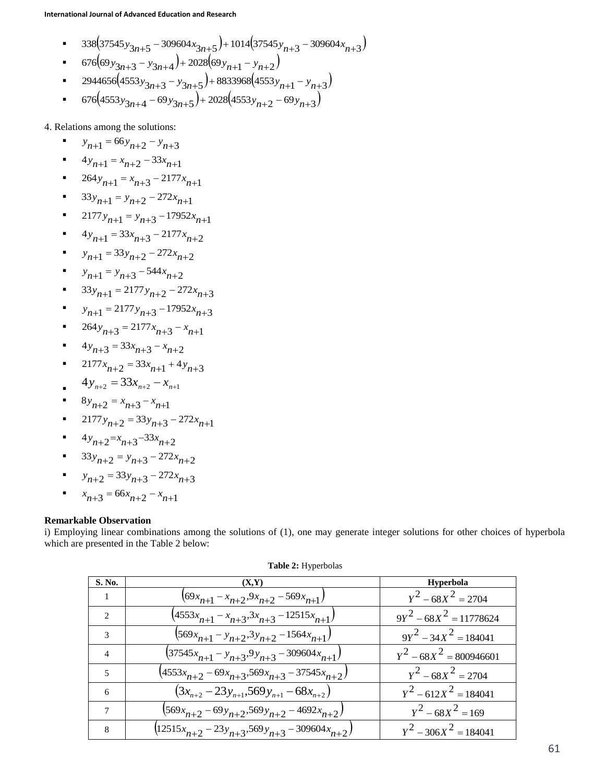- **a**  $338(37545y_{3n+5} 309604x_{3n+5}) + 1014(37545y_{n+3} 309604x_{n+3})$
- **9**  $676(69y_{3n+3} y_{3n+4}) + 2028(69y_{n+1} y_{n+2})$
- **9944656**  $(4553y_{3n+3} y_{3n+5}) + 8833968$   $(4553y_{n+1} y_{n+3})$
- **676** $(4553y_{3n+4} 69y_{3n+5}) + 2028(4553y_{n+2} 69y_{n+3})$

4. Relations among the solutions:

- :  $y_{n+1} = 66y_{n+2} - y_{n+3}$
- **1**  $4y_{n+1} = x_{n+2} 33x_{n+1}$
- **1**  $264y_{n+1} = x_{n+3} 2177x_{n+1}$
- **1**  $33y_{n+1} = y_{n+2} 272x_{n+1}$
- **12177** $y_{n+1} = y_{n+3} 17952x_{n+1}$
- **2177** $x_{n+1} = 33x_{n+3} 2177x_{n+2}$
- $y_{n+1} = 33y_{n+2} 272x_{n+2}$
- $y_{n+1} = y_{n+3} 544x_{n+2}$
- **•**  $33y_{n+1} = 2177y_{n+2} 272x_{n+3}$
- $y_{n+1} = 2177y_{n+3} 17952x_{n+3}$
- **264**  $y_{n+3} = 2177x_{n+3} x_{n+1}$
- $4y_{n+3} = 33x_{n+3} x_{n+2}$
- $2177x_{n+2} = 33x_{n+1} + 4y_{n+3}$
- $4y_{n+2} = 33x_{n+2} x_{n+1}$
- $8y_{n+2} = x_{n+3} x_{n+1}$
- **12177** $y_{n+2} = 33y_{n+3} 272x_{n+1}$
- $4y_{n+2} = x_{n+3} 33x_{n+2}$
- **23** $y_{n+2} = y_{n+3} 272x_{n+2}$
- $y_{n+2} = 33y_{n+3} 272x_{n+3}$
- .  $x_{n+3} = 66x_{n+2} - x_{n+1}$

## **Remarkable Observation**

i) Employing linear combinations among the solutions of (1), one may generate integer solutions for other choices of hyperbola which are presented in the Table 2 below:

| <b>S. No.</b>            | (X,Y)                                                    | Hyperbola                 |
|--------------------------|----------------------------------------------------------|---------------------------|
|                          | $(69x_{n+1} - x_{n+2}, 9x_{n+2} - 569x_{n+1})$           | $Y^2 - 68X^2 = 2704$      |
| $\mathcal{D}$            | $(4553x_{n+1} - x_{n+3}, 3x_{n+3} - 12515x_{n+1})$       | $9Y^2 - 68X^2 = 11778624$ |
| $\mathcal{R}$            | $(569x_{n+1} - y_{n+2}, 3y_{n+2} - 1564x_{n+1})$         | $9Y^2 - 34X^2 = 184041$   |
| $\overline{\mathcal{A}}$ | $(37545x_{n+1} - y_{n+3}, 9y_{n+3} - 309604x_{n+1})$     | $y^2 - 68X^2 = 800946601$ |
| 5                        | $(4553x_{n+2} - 69x_{n+3} - 569x_{n+3} - 37545x_{n+2})$  | $Y^2 - 68X^2 = 2704$      |
| 6                        | $(3x_{n+2} - 23y_{n+1}, 569y_{n+1} - 68x_{n+2})$         | $Y^2 - 612X^2 = 184041$   |
| 7                        | $(569x_{n+2} - 69y_{n+2}, 569y_{n+2} - 4692x_{n+2})$     | $Y^2 - 68X^2 = 169$       |
| 8                        | $(12515x_{n+2} - 23y_{n+3}, 569y_{n+3} - 309604x_{n+2})$ | $Y^2 - 306X^2 = 184041$   |

### **Table 2:** Hyperbolas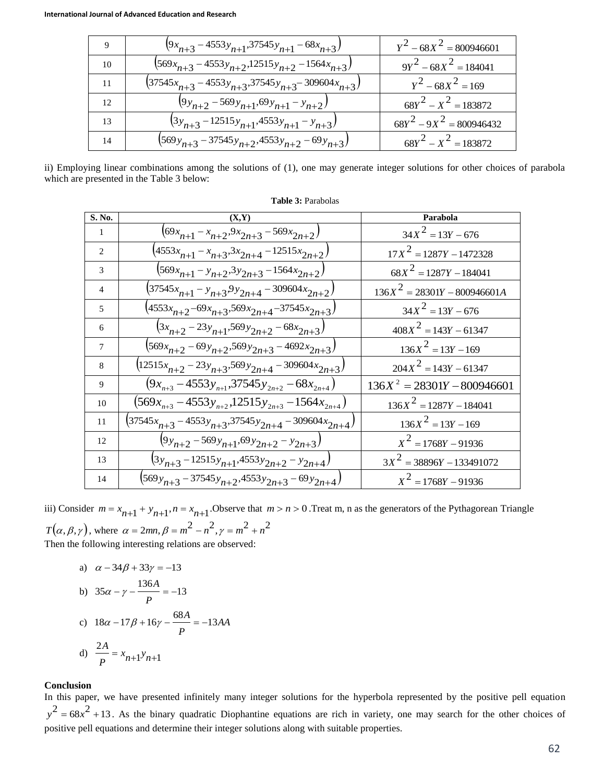| 9  | $(9x_{n+3} - 4553y_{n+1}, 37545y_{n+1} - 68x_{n+3})$         | $Y^2 - 68X^2 = 800946601$  |
|----|--------------------------------------------------------------|----------------------------|
| 10 | $(569x_{n+3} - 4553y_{n+2}, 12515y_{n+2} - 1564x_{n+3})$     | $9Y^2 - 68X^2 = 184041$    |
| 11 | $(37545x_{n+3} - 4553y_{n+3}, 37545y_{n+3} - 309604x_{n+3})$ | $Y^2 - 68X^2 = 169$        |
| 12 | $(9y_{n+2} - 569y_{n+1}, 69y_{n+1} - y_{n+2})$               | $68Y^2 - X^2 = 183872$     |
| 13 | $(3y_{n+3} - 12515y_{n+1}, 4553y_{n+1} - y_{n+3})$           | $68Y^2 - 9X^2 = 800946432$ |
| 14 | $(569y_{n+3} - 37545y_{n+2}, 4553y_{n+2} - 69y_{n+3})$       | $68Y^2 - X^2 = 183872$     |

ii) Employing linear combinations among the solutions of (1), one may generate integer solutions for other choices of parabola which are presented in the Table 3 below:

**Table 3:** Parabolas

| S. No.         |                                                                |                                |
|----------------|----------------------------------------------------------------|--------------------------------|
|                | (X,Y)                                                          | Parabola                       |
| $\overline{1}$ | $(69x_{n+1} - x_{n+2}, 9x_{2n+3} - 569x_{2n+2})$               | $34X^2 = 13Y - 676$            |
| 2              | $(4553x_{n+1} - x_{n+3}, 3x_{2n+4} - 12515x_{2n+2})$           | $17X^2 = 1287Y - 1472328$      |
| 3              | $(569x_{n+1} - y_{n+2}, 3y_{2n+3} - 1564x_{2n+2})$             | $68X^2 = 1287Y - 184041$       |
| $\overline{4}$ | $(37545x_{n+1} - y_{n+3}9y_{2n+4} - 309604x_{2n+2})$           | $136X^2 = 28301Y - 800946601A$ |
| $\overline{5}$ | $(4553x_{n+2} - 69x_{n+3}, 569x_{2n+4} - 37545x_{2n+3})$       | $34X^2 = 13Y - 676$            |
| 6              | $(3x_{n+2} - 23y_{n+1}, 569y_{2n+2} - 68x_{2n+3})$             | $408X^2 = 143Y - 61347$        |
| $\tau$         | $(569x_{n+2} - 69y_{n+2}, 569y_{2n+3} - 4692x_{2n+3})$         | $136X^2 = 13Y - 169$           |
| 8              | $(12515x_{n+2} - 23y_{n+3}, 569y_{2n+4} - 309604x_{2n+3})$     | $204X^2 = 143Y - 61347$        |
| 9              | $(9x_{n+3} - 4553y_{n+1}, 37545y_{2n+2} - 68x_{2n+4})$         | $136X^2 = 28301Y - 800946601$  |
| 10             | $(569x_{n+3} - 4553y_{n+2}, 12515y_{2n+3} - 1564x_{2n+4})$     | $136X^2 = 1287Y - 184041$      |
| 11             | $(37545x_{n+3} - 4553y_{n+3}, 37545y_{2n+4} - 309604x_{2n+4})$ | $136X^2 = 13Y - 169$           |
| 12             | $(y_{y_{n+2}} - 569y_{n+1}, 69y_{2n+2} - y_{2n+3})$            | $X^2 = 1768Y - 91936$          |
| 13             | $(x_{n+3}-12515y_{n+1}, 4553y_{2n+2}-y_{2n+4})$                | $3X^2 = 38896Y - 133491072$    |
| 14             | $(569y_{n+3} - 37545y_{n+2}, 4553y_{2n+3} - 69y_{2n+4})$       | $X^2 = 1768Y - 91936$          |

iii) Consider  $m = x_{n+1} + y_{n+1}$ ,  $n = x_{n+1}$ . Observe that  $m > n > 0$ . Treat m, n as the generators of the Pythagorean Triangle  $T(\alpha, \beta, \gamma)$ , where  $\alpha = 2mn, \beta = m^2 - n^2, \gamma = m^2 + n^2$ 

Then the following interesting relations are observed:

a) 
$$
\alpha - 34\beta + 33\gamma = -13
$$
  
\nb)  $35\alpha - \gamma - \frac{136A}{P} = -13$   
\nc)  $18\alpha - 17\beta + 16\gamma - \frac{68A}{P} = -13AA$   
\nd)  $\frac{2A}{P} = x_{n+1}y_{n+1}$ 

### **Conclusion**

In this paper, we have presented infinitely many integer solutions for the hyperbola represented by the positive pell equation  $y^2 = 68x^2 + 13$ . As the binary quadratic Diophantine equations are rich in variety, one may search for the other choices of positive pell equations and determine their integer solutions along with suitable properties.